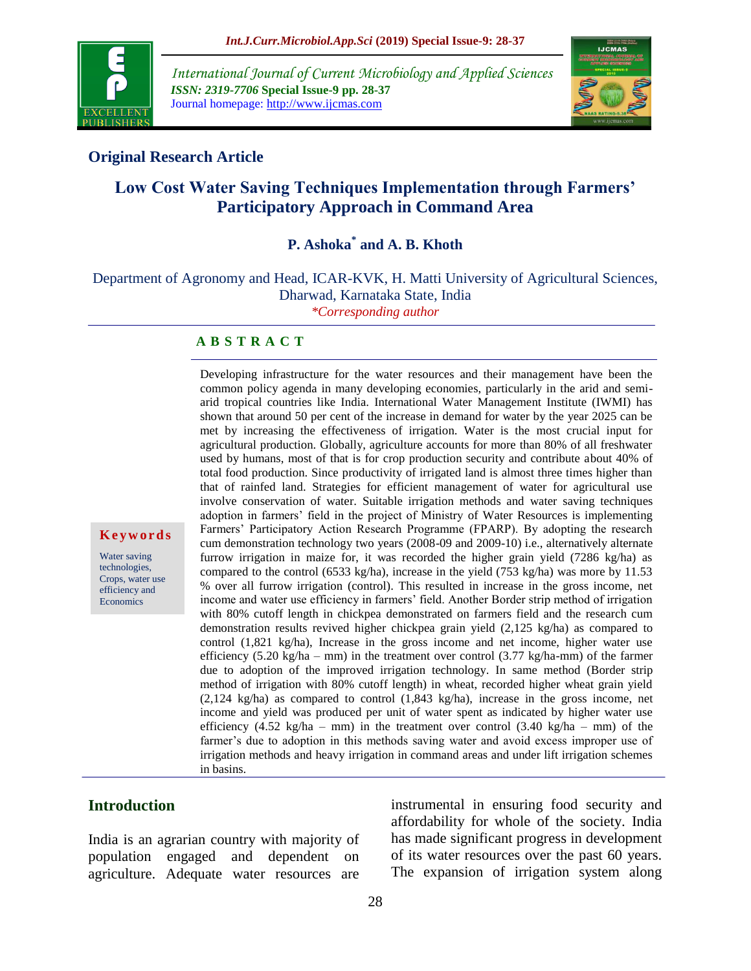

*International Journal of Current Microbiology and Applied Sciences ISSN: 2319-7706* **Special Issue-9 pp. 28-37** Journal homepage: http://www.ijcmas.com



## **Original Research Article**

# **Low Cost Water Saving Techniques Implementation through Farmers' Participatory Approach in Command Area**

# **P. Ashoka\* and A. B. Khoth**

Department of Agronomy and Head, ICAR-KVK, H. Matti University of Agricultural Sciences, Dharwad, Karnataka State, India *\*Corresponding author*

#### **A B S T R A C T**

Developing infrastructure for the water resources and their management have been the common policy agenda in many developing economies, particularly in the arid and semiarid tropical countries like India. International Water Management Institute (IWMI) has shown that around 50 per cent of the increase in demand for water by the year 2025 can be met by increasing the effectiveness of irrigation. Water is the most crucial input for agricultural production. Globally, agriculture accounts for more than 80% of all freshwater used by humans, most of that is for crop production security and contribute about 40% of total food production. Since productivity of irrigated land is almost three times higher than that of rainfed land. Strategies for efficient management of water for agricultural use involve conservation of water. Suitable irrigation methods and water saving techniques adoption in farmers' field in the project of Ministry of Water Resources is implementing Farmers' Participatory Action Research Programme (FPARP). By adopting the research cum demonstration technology two years (2008-09 and 2009-10) i.e., alternatively alternate furrow irrigation in maize for, it was recorded the higher grain yield (7286 kg/ha) as compared to the control (6533 kg/ha), increase in the yield (753 kg/ha) was more by 11.53 % over all furrow irrigation (control). This resulted in increase in the gross income, net income and water use efficiency in farmers' field. Another Border strip method of irrigation with 80% cutoff length in chickpea demonstrated on farmers field and the research cum demonstration results revived higher chickpea grain yield (2,125 kg/ha) as compared to control (1,821 kg/ha), Increase in the gross income and net income, higher water use efficiency  $(5.20 \text{ kg/ha} - \text{mm})$  in the treatment over control  $(3.77 \text{ kg/ha-mm})$  of the farmer due to adoption of the improved irrigation technology. In same method (Border strip method of irrigation with 80% cutoff length) in wheat, recorded higher wheat grain yield (2,124 kg/ha) as compared to control (1,843 kg/ha), increase in the gross income, net income and yield was produced per unit of water spent as indicated by higher water use efficiency  $(4.52 \text{ kg/ha} - \text{mm})$  in the treatment over control  $(3.40 \text{ kg/ha} - \text{mm})$  of the farmer's due to adoption in this methods saving water and avoid excess improper use of irrigation methods and heavy irrigation in command areas and under lift irrigation schemes in basins.

### **Introduction**

**K e y w o r d s** Water saving technologies, Crops, water use efficiency and Economics

India is an agrarian country with majority of population engaged and dependent on agriculture. Adequate water resources are instrumental in ensuring food security and affordability for whole of the society. India has made significant progress in development of its water resources over the past 60 years. The expansion of irrigation system along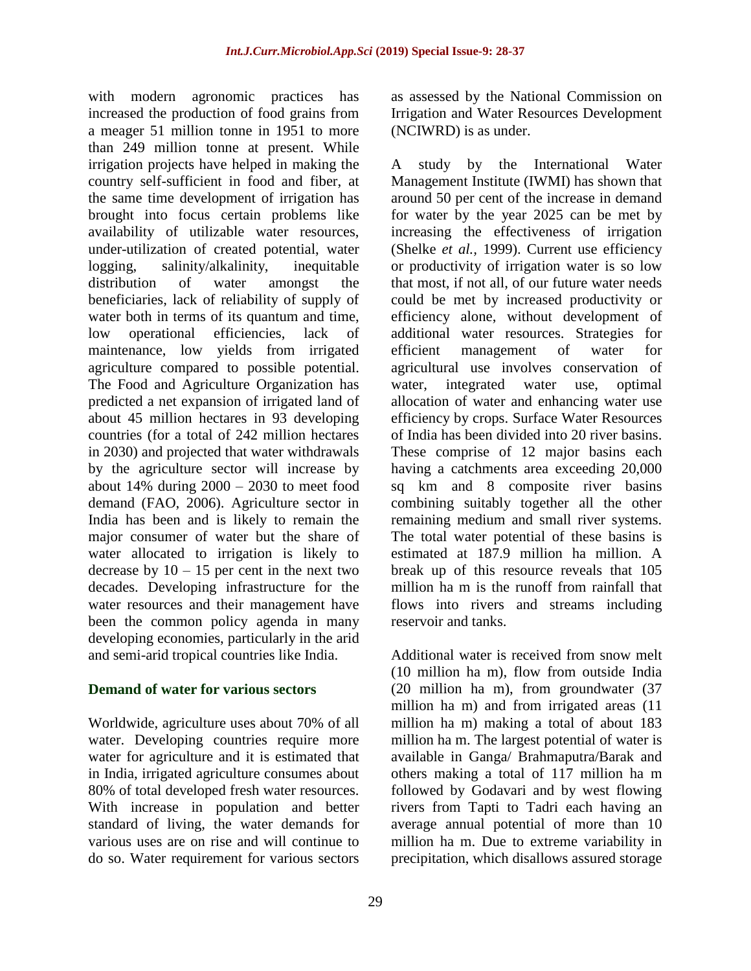with modern agronomic practices has increased the production of food grains from a meager 51 million tonne in 1951 to more than 249 million tonne at present. While irrigation projects have helped in making the country self-sufficient in food and fiber, at the same time development of irrigation has brought into focus certain problems like availability of utilizable water resources, under-utilization of created potential, water logging, salinity/alkalinity, inequitable distribution of water amongst the beneficiaries, lack of reliability of supply of water both in terms of its quantum and time, low operational efficiencies, lack of maintenance, low yields from irrigated agriculture compared to possible potential. The Food and Agriculture Organization has predicted a net expansion of irrigated land of about 45 million hectares in 93 developing countries (for a total of 242 million hectares in 2030) and projected that water withdrawals by the agriculture sector will increase by about  $14\%$  during  $2000 - 2030$  to meet food demand (FAO, 2006). Agriculture sector in India has been and is likely to remain the major consumer of water but the share of water allocated to irrigation is likely to decrease by  $10 - 15$  per cent in the next two decades. Developing infrastructure for the water resources and their management have been the common policy agenda in many developing economies, particularly in the arid and semi-arid tropical countries like India.

### **Demand of water for various sectors**

Worldwide, agriculture uses about 70% of all water. Developing countries require more water for agriculture and it is estimated that in India, irrigated agriculture consumes about 80% of total developed fresh water resources. With increase in population and better standard of living, the water demands for various uses are on rise and will continue to do so. Water requirement for various sectors as assessed by the National Commission on Irrigation and Water Resources Development (NCIWRD) is as under.

A study by the International Water Management Institute (IWMI) has shown that around 50 per cent of the increase in demand for water by the year 2025 can be met by increasing the effectiveness of irrigation (Shelke *et al.,* 1999). Current use efficiency or productivity of irrigation water is so low that most, if not all, of our future water needs could be met by increased productivity or efficiency alone, without development of additional water resources. Strategies for efficient management of water for agricultural use involves conservation of water, integrated water use, optimal allocation of water and enhancing water use efficiency by crops. Surface Water Resources of India has been divided into 20 river basins. These comprise of 12 major basins each having a catchments area exceeding 20,000 sq km and 8 composite river basins combining suitably together all the other remaining medium and small river systems. The total water potential of these basins is estimated at 187.9 million ha million. A break up of this resource reveals that 105 million ha m is the runoff from rainfall that flows into rivers and streams including reservoir and tanks.

Additional water is received from snow melt (10 million ha m), flow from outside India (20 million ha m), from groundwater (37 million ha m) and from irrigated areas (11 million ha m) making a total of about 183 million ha m. The largest potential of water is available in Ganga/ Brahmaputra/Barak and others making a total of 117 million ha m followed by Godavari and by west flowing rivers from Tapti to Tadri each having an average annual potential of more than 10 million ha m. Due to extreme variability in precipitation, which disallows assured storage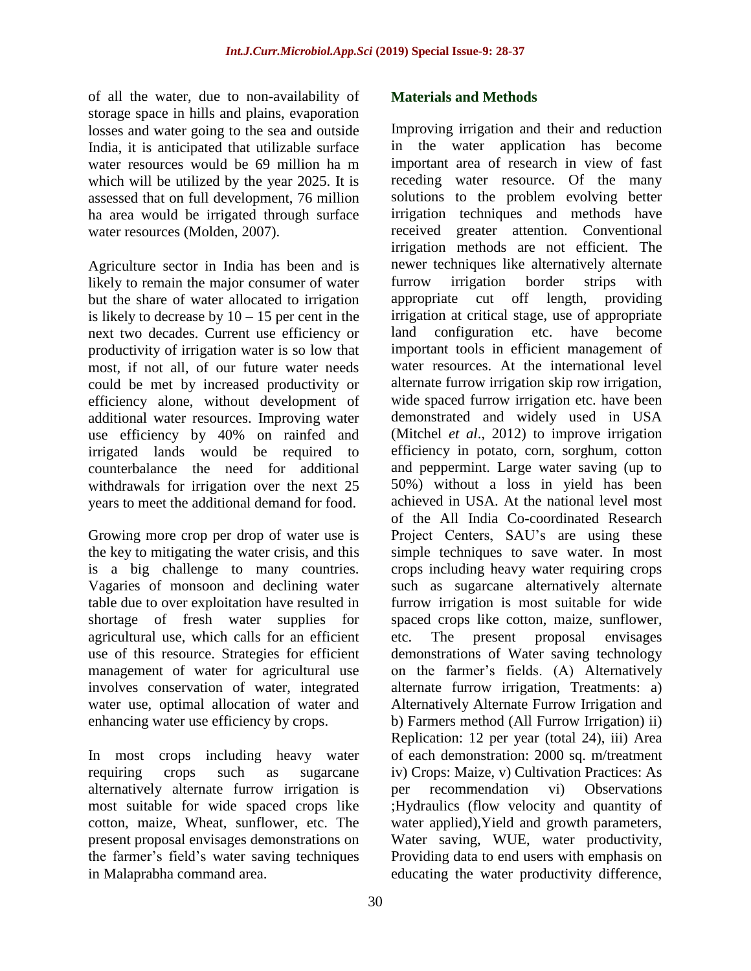of all the water, due to non-availability of storage space in hills and plains, evaporation losses and water going to the sea and outside India, it is anticipated that utilizable surface water resources would be 69 million ha m which will be utilized by the year 2025. It is assessed that on full development, 76 million ha area would be irrigated through surface water resources (Molden, 2007).

Agriculture sector in India has been and is likely to remain the major consumer of water but the share of water allocated to irrigation is likely to decrease by  $10 - 15$  per cent in the next two decades. Current use efficiency or productivity of irrigation water is so low that most, if not all, of our future water needs could be met by increased productivity or efficiency alone, without development of additional water resources. Improving water use efficiency by 40% on rainfed and irrigated lands would be required to counterbalance the need for additional withdrawals for irrigation over the next 25 years to meet the additional demand for food.

Growing more crop per drop of water use is the key to mitigating the water crisis, and this is a big challenge to many countries. Vagaries of monsoon and declining water table due to over exploitation have resulted in shortage of fresh water supplies for agricultural use, which calls for an efficient use of this resource. Strategies for efficient management of water for agricultural use involves conservation of water, integrated water use, optimal allocation of water and enhancing water use efficiency by crops.

In most crops including heavy water requiring crops such as sugarcane alternatively alternate furrow irrigation is most suitable for wide spaced crops like cotton, maize, Wheat, sunflower, etc. The present proposal envisages demonstrations on the farmer's field's water saving techniques in Malaprabha command area.

### **Materials and Methods**

Improving irrigation and their and reduction in the water application has become important area of research in view of fast receding water resource. Of the many solutions to the problem evolving better irrigation techniques and methods have received greater attention. Conventional irrigation methods are not efficient. The newer techniques like alternatively alternate furrow irrigation border strips with appropriate cut off length, providing irrigation at critical stage, use of appropriate land configuration etc. have become important tools in efficient management of water resources. At the international level alternate furrow irrigation skip row irrigation, wide spaced furrow irrigation etc. have been demonstrated and widely used in USA (Mitchel *et al*., 2012) to improve irrigation efficiency in potato, corn, sorghum, cotton and peppermint. Large water saving (up to 50%) without a loss in yield has been achieved in USA. At the national level most of the All India Co-coordinated Research Project Centers, SAU's are using these simple techniques to save water. In most crops including heavy water requiring crops such as sugarcane alternatively alternate furrow irrigation is most suitable for wide spaced crops like cotton, maize, sunflower, etc. The present proposal envisages demonstrations of Water saving technology on the farmer's fields. (A) Alternatively alternate furrow irrigation, Treatments: a) Alternatively Alternate Furrow Irrigation and b) Farmers method (All Furrow Irrigation) ii) Replication: 12 per year (total 24), iii) Area of each demonstration: 2000 sq. m/treatment iv) Crops: Maize, v) Cultivation Practices: As per recommendation vi) Observations ;Hydraulics (flow velocity and quantity of water applied),Yield and growth parameters, Water saving, WUE, water productivity, Providing data to end users with emphasis on educating the water productivity difference,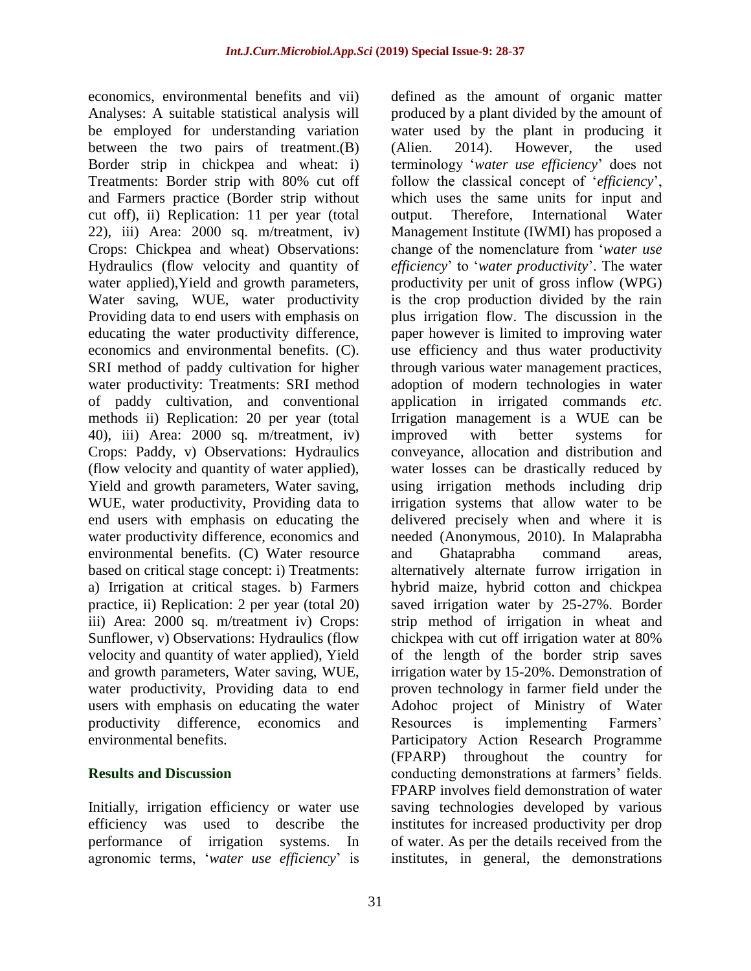economics, environmental benefits and vii) Analyses: A suitable statistical analysis will be employed for understanding variation between the two pairs of treatment.(B) Border strip in chickpea and wheat: i) Treatments: Border strip with 80% cut off and Farmers practice (Border strip without cut off), ii) Replication: 11 per year (total 22), iii) Area: 2000 sq. m/treatment, iv) Crops: Chickpea and wheat) Observations: Hydraulics (flow velocity and quantity of water applied),Yield and growth parameters, Water saving, WUE, water productivity Providing data to end users with emphasis on educating the water productivity difference, economics and environmental benefits. (C). SRI method of paddy cultivation for higher water productivity: Treatments: SRI method of paddy cultivation, and conventional methods ii) Replication: 20 per year (total 40), iii) Area: 2000 sq. m/treatment, iv) Crops: Paddy, v) Observations: Hydraulics (flow velocity and quantity of water applied), Yield and growth parameters, Water saving, WUE, water productivity, Providing data to end users with emphasis on educating the water productivity difference, economics and environmental benefits. (C) Water resource based on critical stage concept: i) Treatments: a) Irrigation at critical stages. b) Farmers practice, ii) Replication: 2 per year (total 20) iii) Area: 2000 sq. m/treatment iv) Crops: Sunflower, v) Observations: Hydraulics (flow velocity and quantity of water applied), Yield and growth parameters, Water saving, WUE, water productivity, Providing data to end users with emphasis on educating the water productivity difference, economics and environmental benefits.

### **Results and Discussion**

Initially, irrigation efficiency or water use efficiency was used to describe the performance of irrigation systems. In agronomic terms, '*water use efficiency*' is

defined as the amount of organic matter produced by a plant divided by the amount of water used by the plant in producing it (Alien. 2014). However, the used terminology '*water use efficiency*' does not follow the classical concept of '*efficiency*', which uses the same units for input and output. Therefore, International Water Management Institute (IWMI) has proposed a change of the nomenclature from '*water use efficiency*' to '*water productivity*'. The water productivity per unit of gross inflow (WPG) is the crop production divided by the rain plus irrigation flow. The discussion in the paper however is limited to improving water use efficiency and thus water productivity through various water management practices, adoption of modern technologies in water application in irrigated commands *etc.* Irrigation management is a WUE can be improved with better systems for conveyance, allocation and distribution and water losses can be drastically reduced by using irrigation methods including drip irrigation systems that allow water to be delivered precisely when and where it is needed (Anonymous, 2010). In Malaprabha and Ghataprabha command areas, alternatively alternate furrow irrigation in hybrid maize, hybrid cotton and chickpea saved irrigation water by 25-27%. Border strip method of irrigation in wheat and chickpea with cut off irrigation water at 80% of the length of the border strip saves irrigation water by 15-20%. Demonstration of proven technology in farmer field under the Adohoc project of Ministry of Water Resources is implementing Farmers' Participatory Action Research Programme (FPARP) throughout the country for conducting demonstrations at farmers' fields. FPARP involves field demonstration of water saving technologies developed by various institutes for increased productivity per drop of water. As per the details received from the institutes, in general, the demonstrations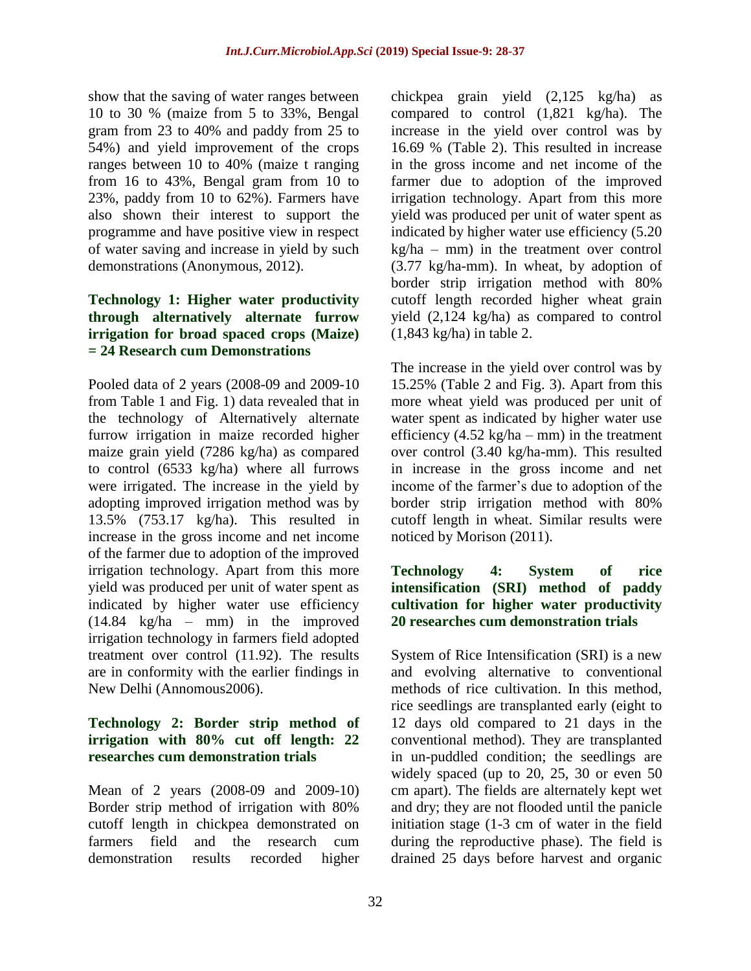show that the saving of water ranges between 10 to 30 % (maize from 5 to 33%, Bengal gram from 23 to 40% and paddy from 25 to 54%) and yield improvement of the crops ranges between 10 to 40% (maize t ranging from 16 to 43%, Bengal gram from 10 to 23%, paddy from 10 to 62%). Farmers have also shown their interest to support the programme and have positive view in respect of water saving and increase in yield by such demonstrations (Anonymous, 2012).

### **Technology 1: Higher water productivity through alternatively alternate furrow irrigation for broad spaced crops (Maize) = 24 Research cum Demonstrations**

Pooled data of 2 years (2008-09 and 2009-10 from Table 1 and Fig. 1) data revealed that in the technology of Alternatively alternate furrow irrigation in maize recorded higher maize grain yield (7286 kg/ha) as compared to control (6533 kg/ha) where all furrows were irrigated. The increase in the yield by adopting improved irrigation method was by 13.5% (753.17 kg/ha). This resulted in increase in the gross income and net income of the farmer due to adoption of the improved irrigation technology. Apart from this more yield was produced per unit of water spent as indicated by higher water use efficiency (14.84 kg/ha – mm) in the improved irrigation technology in farmers field adopted treatment over control (11.92). The results are in conformity with the earlier findings in New Delhi (Annomous2006).

### **Technology 2: Border strip method of irrigation with 80% cut off length: 22 researches cum demonstration trials**

Mean of 2 years (2008-09 and 2009-10) Border strip method of irrigation with 80% cutoff length in chickpea demonstrated on farmers field and the research cum demonstration results recorded higher

chickpea grain yield (2,125 kg/ha) as compared to control (1,821 kg/ha). The increase in the yield over control was by 16.69 % (Table 2). This resulted in increase in the gross income and net income of the farmer due to adoption of the improved irrigation technology. Apart from this more yield was produced per unit of water spent as indicated by higher water use efficiency (5.20 kg/ha – mm) in the treatment over control (3.77 kg/ha-mm). In wheat, by adoption of border strip irrigation method with 80% cutoff length recorded higher wheat grain yield (2,124 kg/ha) as compared to control (1,843 kg/ha) in table 2.

The increase in the yield over control was by 15.25% (Table 2 and Fig. 3). Apart from this more wheat yield was produced per unit of water spent as indicated by higher water use efficiency  $(4.52 \text{ kg/ha} - \text{mm})$  in the treatment over control (3.40 kg/ha-mm). This resulted in increase in the gross income and net income of the farmer's due to adoption of the border strip irrigation method with 80% cutoff length in wheat. Similar results were noticed by Morison (2011).

#### **Technology 4: System of rice intensification (SRI) method of paddy cultivation for higher water productivity 20 researches cum demonstration trials**

System of Rice Intensification (SRI) is a new and evolving alternative to conventional methods of rice cultivation. In this method, rice seedlings are transplanted early (eight to 12 days old compared to 21 days in the conventional method). They are transplanted in un-puddled condition; the seedlings are widely spaced (up to 20, 25, 30 or even 50 cm apart). The fields are alternately kept wet and dry; they are not flooded until the panicle initiation stage (1-3 cm of water in the field during the reproductive phase). The field is drained 25 days before harvest and organic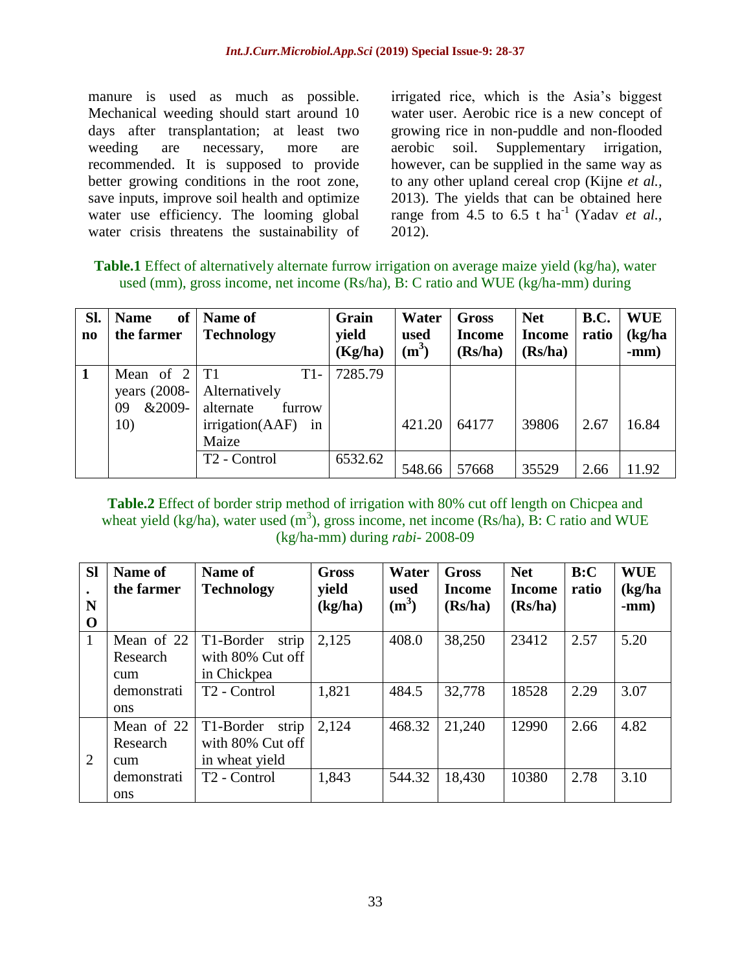manure is used as much as possible. Mechanical weeding should start around 10 days after transplantation; at least two weeding are necessary, more are recommended. It is supposed to provide better growing conditions in the root zone, save inputs, improve soil health and optimize water use efficiency. The looming global water crisis threatens the sustainability of

irrigated rice, which is the Asia's biggest water user. Aerobic rice is a new concept of growing rice in non-puddle and non-flooded aerobic soil. Supplementary irrigation, however, can be supplied in the same way as to any other upland cereal crop (Kijne *et al.,*  2013). The yields that can be obtained here range from 4.5 to 6.5 t ha<sup>-1</sup> (Yadav *et al.*, 2012).

**Table.1** Effect of alternatively alternate furrow irrigation on average maize yield (kg/ha), water used (mm), gross income, net income (Rs/ha), B: C ratio and WUE (kg/ha-mm) during

| SI.<br>$\mathbf{n}\mathbf{o}$ | of<br><b>Name</b><br>the farmer                          | Name of<br><b>Technology</b>                                                    | Grain<br>yield<br>(Kg/ha) | Water<br>used<br>$(m^3)$ | <b>Gross</b><br><b>Income</b><br>(Rs/ha) | <b>Net</b><br><b>Income</b><br>(Rs/ha) | <b>B.C.</b><br>ratio | <b>WUE</b><br>(kg/ha)<br>$-mm)$ |
|-------------------------------|----------------------------------------------------------|---------------------------------------------------------------------------------|---------------------------|--------------------------|------------------------------------------|----------------------------------------|----------------------|---------------------------------|
|                               | Mean of $2 T1$<br>years $(2008 -$<br>&2009-<br>09<br>10) | $T1-$<br>Alternatively<br>alternate<br>furrow<br>irrigation(AAF)<br>in<br>Maize | 7285.79                   | 421.20                   | 64177                                    | 39806                                  | 2.67                 | 16.84                           |
|                               |                                                          | T <sub>2</sub> - Control                                                        | 6532.62                   | 548.66                   | 57668                                    | 35529                                  | 2.66                 | 11.92                           |

**Table.2** Effect of border strip method of irrigation with 80% cut off length on Chicpea and wheat yield (kg/ha), water used  $(m^3)$ , gross income, net income (Rs/ha), B: C ratio and WUE (kg/ha-mm) during *rabi-* 2008-09

| <b>Sl</b>      | Name of<br>the farmer | Name of<br><b>Technology</b> | <b>Gross</b><br>yield | Water<br>used | <b>Gross</b><br>Income | <b>Net</b><br><b>Income</b> | B:C<br>ratio | <b>WUE</b><br>(kg/ha) |
|----------------|-----------------------|------------------------------|-----------------------|---------------|------------------------|-----------------------------|--------------|-----------------------|
| N              |                       |                              | (kg/ha)               | $(m^3)$       | (Rs/ha)                | (Rs/ha)                     |              | $-mm)$                |
| $\mathbf 0$    |                       |                              |                       |               |                        |                             |              |                       |
| 1              | Mean of 22            | T1-Border<br>strip           | 2,125                 | 408.0         | 38,250                 | 23412                       | 2.57         | 5.20                  |
|                | Research              | with 80% Cut off             |                       |               |                        |                             |              |                       |
|                | cum                   | in Chickpea                  |                       |               |                        |                             |              |                       |
|                | demonstrati           | T <sub>2</sub> - Control     | 1,821                 | 484.5         | 32,778                 | 18528                       | 2.29         | 3.07                  |
|                | <b>ons</b>            |                              |                       |               |                        |                             |              |                       |
|                | Mean of 22            | T1-Border<br>strip           | 2,124                 | 468.32        | 21,240                 | 12990                       | 2.66         | 4.82                  |
|                | Research              | with 80% Cut off             |                       |               |                        |                             |              |                       |
| $\overline{2}$ | cum                   | in wheat yield               |                       |               |                        |                             |              |                       |
|                | demonstrati           | T <sub>2</sub> - Control     | 1,843                 | 544.32        | 18,430                 | 10380                       | 2.78         | 3.10                  |
|                | ons                   |                              |                       |               |                        |                             |              |                       |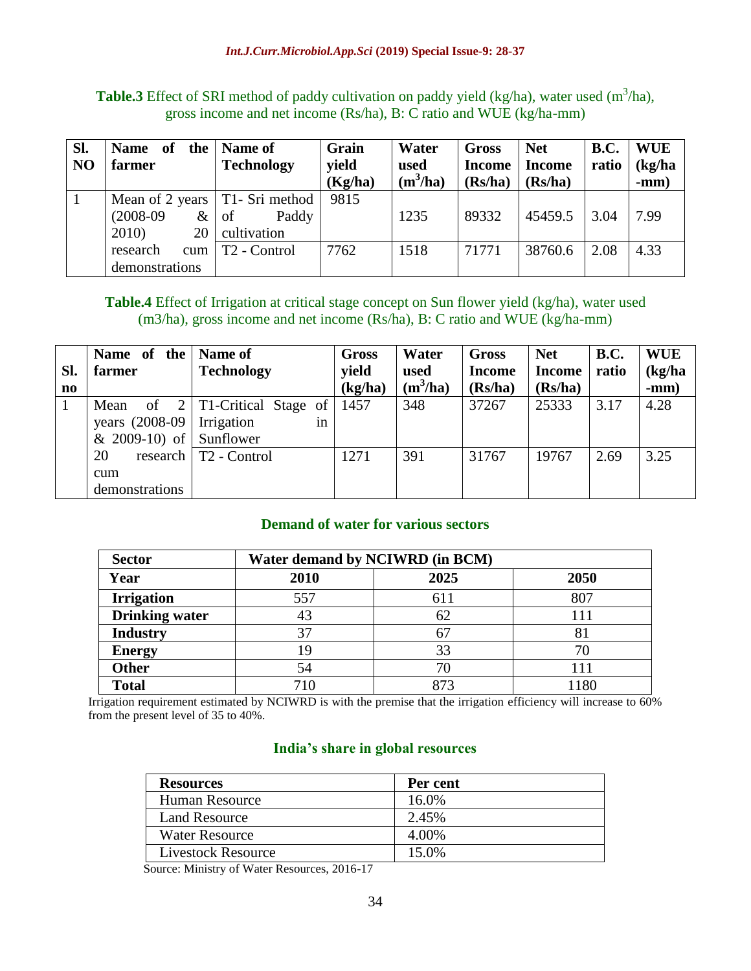**Table.3** Effect of SRI method of paddy cultivation on paddy yield (kg/ha), water used  $(m^3/ha)$ , gross income and net income (Rs/ha), B: C ratio and WUE (kg/ha-mm)

| Sl.            | <b>Name</b><br>of<br>the | Name of                          | Grain   | Water      | <b>Gross</b>  | <b>Net</b>    | <b>B.C.</b> | <b>WUE</b> |
|----------------|--------------------------|----------------------------------|---------|------------|---------------|---------------|-------------|------------|
| N <sub>O</sub> | farmer                   | <b>Technology</b>                | vield   | used       | <b>Income</b> | <b>Income</b> | ratio       | (kg/ha)    |
|                |                          |                                  | (Kg/ha) | $(m^3/ha)$ | (Rs/ha)       | (Rs/ha)       |             | $-mm)$     |
|                |                          | Mean of 2 years   T1- Sri method | 9815    |            |               |               |             |            |
|                | $(2008-09)$<br>$\&$      | Paddy<br>of                      |         | 1235       | 89332         | 45459.5       | 3.04        | 7.99       |
|                | 2010)<br>20              | cultivation                      |         |            |               |               |             |            |
|                | research<br>cum          | T <sub>2</sub> - Control         | 7762    | 1518       | 71771         | 38760.6       | 2.08        | 4.33       |
|                | demonstrations           |                                  |         |            |               |               |             |            |

#### **Table.4** Effect of Irrigation at critical stage concept on Sun flower yield (kg/ha), water used (m3/ha), gross income and net income (Rs/ha), B: C ratio and WUE (kg/ha-mm)

|                        | Name of the              | <b>Name of</b>                            | <b>Gross</b> | Water      | <b>Gross</b>  | <b>Net</b>    | <b>B.C.</b> | <b>WUE</b> |
|------------------------|--------------------------|-------------------------------------------|--------------|------------|---------------|---------------|-------------|------------|
| Sl.                    | farmer                   | <b>Technology</b>                         | yield        | used       | <b>Income</b> | <b>Income</b> | ratio       | (kg/ha)    |
| $\mathbf{n}\mathbf{o}$ |                          |                                           | (kg/ha)      | $(m^3/ha)$ | (Rs/ha)       | (Rs/ha)       |             | $-mm)$     |
|                        | Mean                     | of $2 \mid T1$ -Critical Stage of         | 1457         | 348        | 37267         | 25333         | 3.17        | 4.28       |
|                        | years $(2008-09)$        | Irrigation<br><sub>in</sub>               |              |            |               |               |             |            |
|                        | & $2009-10$ of Sunflower |                                           |              |            |               |               |             |            |
|                        | 20                       | research $\vert$ T <sub>2</sub> - Control | 1271         | 391        | 31767         | 19767         | 2.69        | 3.25       |
|                        | cum                      |                                           |              |            |               |               |             |            |
|                        | demonstrations           |                                           |              |            |               |               |             |            |

### **Demand of water for various sectors**

| <b>Sector</b>         | Water demand by NCIWRD (in BCM) |      |      |  |  |
|-----------------------|---------------------------------|------|------|--|--|
| Year                  | 2010                            | 2025 | 2050 |  |  |
| <b>Irrigation</b>     | 557                             | 611  | 807  |  |  |
| <b>Drinking water</b> |                                 | 62   |      |  |  |
| <b>Industry</b>       | 37                              | 67   |      |  |  |
| <b>Energy</b>         |                                 | 33   |      |  |  |
| <b>Other</b>          | 54                              | 70   |      |  |  |
| <b>Total</b>          | 710                             | 873  | 1180 |  |  |

Irrigation requirement estimated by NCIWRD is with the premise that the irrigation efficiency will increase to 60% from the present level of 35 to 40%.

### **India's share in global resources**

| <b>Resources</b>          | Per cent |
|---------------------------|----------|
| <b>Human Resource</b>     | 16.0%    |
| <b>Land Resource</b>      | 2.45%    |
| <b>Water Resource</b>     | 4.00%    |
| <b>Livestock Resource</b> | 15.0%    |

Source: Ministry of Water Resources, 2016-17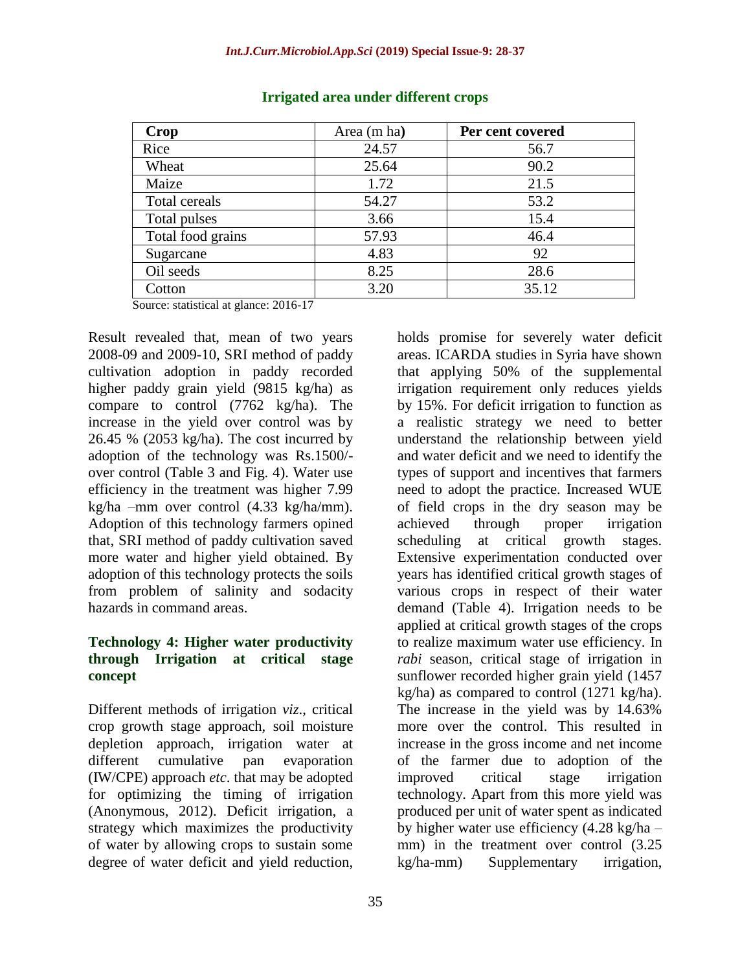| Crop              | Area (m ha) | Per cent covered |
|-------------------|-------------|------------------|
| Rice              | 24.57       | 56.7             |
| Wheat             | 25.64       | 90.2             |
| Maize             | 1.72        | 21.5             |
| Total cereals     | 54.27       | 53.2             |
| Total pulses      | 3.66        | 15.4             |
| Total food grains | 57.93       | 46.4             |
| Sugarcane         | 4.83        | 92               |
| Oil seeds         | 8.25        | 28.6             |
| Cotton            | 3.20        | 35.12            |

#### **Irrigated area under different crops**

Source: statistical at glance: 2016-17

Result revealed that, mean of two years 2008-09 and 2009-10, SRI method of paddy cultivation adoption in paddy recorded higher paddy grain yield (9815 kg/ha) as compare to control (7762 kg/ha). The increase in the yield over control was by 26.45 % (2053 kg/ha). The cost incurred by adoption of the technology was Rs.1500/ over control (Table 3 and Fig. 4). Water use efficiency in the treatment was higher 7.99 kg/ha –mm over control (4.33 kg/ha/mm). Adoption of this technology farmers opined that, SRI method of paddy cultivation saved more water and higher yield obtained. By adoption of this technology protects the soils from problem of salinity and sodacity hazards in command areas.

#### **Technology 4: Higher water productivity through Irrigation at critical stage concept**

Different methods of irrigation *viz*., critical crop growth stage approach, soil moisture depletion approach, irrigation water at different cumulative pan evaporation (IW/CPE) approach *etc*. that may be adopted for optimizing the timing of irrigation (Anonymous, 2012). Deficit irrigation, a strategy which maximizes the productivity of water by allowing crops to sustain some degree of water deficit and yield reduction,

holds promise for severely water deficit areas. ICARDA studies in Syria have shown that applying 50% of the supplemental irrigation requirement only reduces yields by 15%. For deficit irrigation to function as a realistic strategy we need to better understand the relationship between yield and water deficit and we need to identify the types of support and incentives that farmers need to adopt the practice. Increased WUE of field crops in the dry season may be achieved through proper irrigation scheduling at critical growth stages. Extensive experimentation conducted over years has identified critical growth stages of various crops in respect of their water demand (Table 4). Irrigation needs to be applied at critical growth stages of the crops to realize maximum water use efficiency. In *rabi* season, critical stage of irrigation in sunflower recorded higher grain yield (1457 kg/ha) as compared to control (1271 kg/ha). The increase in the yield was by 14.63% more over the control. This resulted in increase in the gross income and net income of the farmer due to adoption of the improved critical stage irrigation technology. Apart from this more yield was produced per unit of water spent as indicated by higher water use efficiency (4.28 kg/ha – mm) in the treatment over control (3.25 kg/ha-mm) Supplementary irrigation,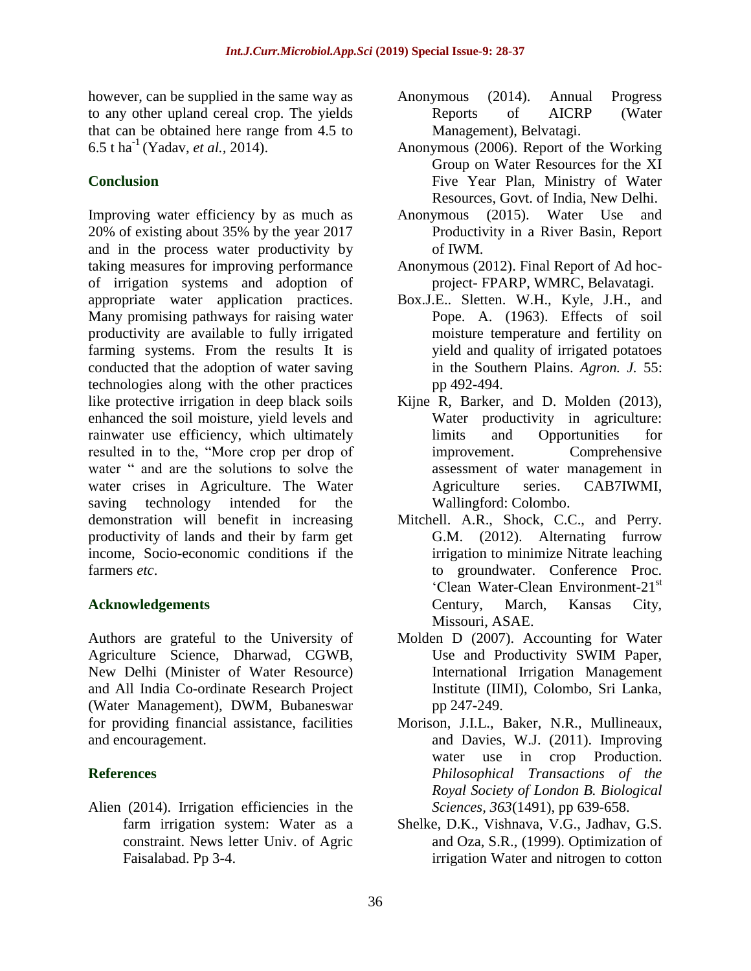however, can be supplied in the same way as to any other upland cereal crop. The yields that can be obtained here range from 4.5 to 6.5 t ha-1 (Yadav, *et al.,* 2014).

## **Conclusion**

Improving water efficiency by as much as 20% of existing about 35% by the year 2017 and in the process water productivity by taking measures for improving performance of irrigation systems and adoption of appropriate water application practices. Many promising pathways for raising water productivity are available to fully irrigated farming systems. From the results It is conducted that the adoption of water saving technologies along with the other practices like protective irrigation in deep black soils enhanced the soil moisture, yield levels and rainwater use efficiency, which ultimately resulted in to the, "More crop per drop of water " and are the solutions to solve the water crises in Agriculture. The Water saving technology intended for the demonstration will benefit in increasing productivity of lands and their by farm get income, Socio-economic conditions if the farmers *etc*.

## **Acknowledgements**

Authors are grateful to the University of Agriculture Science, Dharwad, CGWB, New Delhi (Minister of Water Resource) and All India Co-ordinate Research Project (Water Management), DWM, Bubaneswar for providing financial assistance, facilities and encouragement.

## **References**

Alien (2014). Irrigation efficiencies in the farm irrigation system: Water as a constraint. News letter Univ. of Agric Faisalabad. Pp 3-4.

- Anonymous (2014). Annual Progress Reports of AICRP (Water Management), Belvatagi.
- Anonymous (2006). Report of the Working Group on Water Resources for the XI Five Year Plan, Ministry of Water Resources, Govt. of India, New Delhi.
- Anonymous (2015). Water Use and Productivity in a River Basin, Report of IWM.
- Anonymous (2012). Final Report of Ad hocproject- FPARP, WMRC, Belavatagi.
- Box.J.E.. Sletten. W.H., Kyle, J.H., and Pope. A. (1963). Effects of soil moisture temperature and fertility on yield and quality of irrigated potatoes in the Southern Plains. *Agron. J.* 55: pp 492-494.
- Kijne R, Barker, and D. Molden (2013), Water productivity in agriculture: limits and Opportunities for improvement. Comprehensive assessment of water management in Agriculture series. CAB7IWMI, Wallingford: Colombo.
- Mitchell. A.R., Shock, C.C., and Perry. G.M. (2012). Alternating furrow irrigation to minimize Nitrate leaching to groundwater. Conference Proc. 'Clean Water-Clean Environment-21st Century, March, Kansas City, Missouri, ASAE.
- Molden D (2007). Accounting for Water Use and Productivity SWIM Paper, International Irrigation Management Institute (IIMI), Colombo, Sri Lanka, pp 247-249.
- Morison, J.I.L., Baker, N.R., Mullineaux, and Davies, W.J. (2011). Improving water use in crop Production. *Philosophical Transactions of the Royal Society of London B. Biological Sciences, 363*(1491), pp 639-658.
- Shelke, D.K., Vishnava, V.G., Jadhav, G.S. and Oza, S.R., (1999). Optimization of irrigation Water and nitrogen to cotton